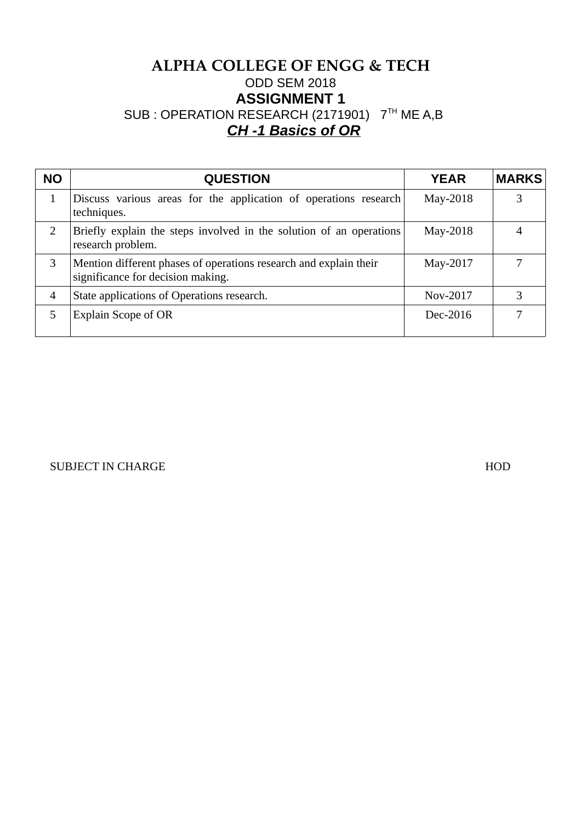# **ALPHA COLLEGE OF ENGG & TECH** ODD SEM 2018 **ASSIGNMENT 1** SUB : OPERATION RESEARCH (2171901) 7TH ME A,B *CH -1 Basics of OR*

| <b>NO</b>    | <b>QUESTION</b>                                                                                        | <b>YEAR</b> | <b>MARKS</b> |
|--------------|--------------------------------------------------------------------------------------------------------|-------------|--------------|
| $\mathbf{1}$ | Discuss various areas for the application of operations research<br>techniques.                        | May-2018    |              |
| 2            | Briefly explain the steps involved in the solution of an operations<br>research problem.               | May-2018    |              |
| 3            | Mention different phases of operations research and explain their<br>significance for decision making. | May-2017    |              |
| 4            | State applications of Operations research.                                                             | Nov-2017    |              |
| 5            | Explain Scope of OR                                                                                    | Dec-2016    |              |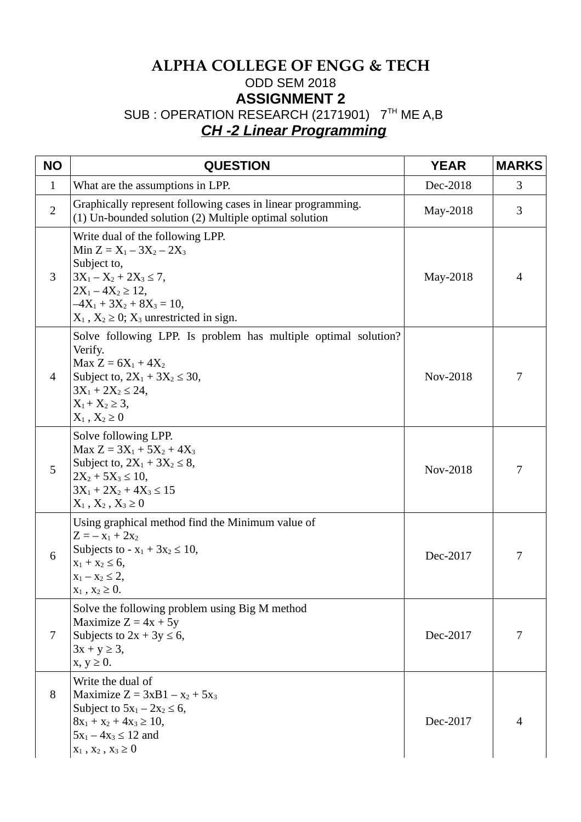# **ALPHA COLLEGE OF ENGG & TECH** ODD SEM 2018 **ASSIGNMENT 2** SUB : OPERATION RESEARCH (2171901) 7TH ME A,B *CH -2 Linear Programming*

| <b>NO</b>      | <b>QUESTION</b>                                                                                                                                                                                                               | <b>YEAR</b> | <b>MARKS</b> |
|----------------|-------------------------------------------------------------------------------------------------------------------------------------------------------------------------------------------------------------------------------|-------------|--------------|
| $\mathbf{1}$   | What are the assumptions in LPP.                                                                                                                                                                                              | Dec-2018    | 3            |
| $\overline{2}$ | Graphically represent following cases in linear programming.<br>(1) Un-bounded solution (2) Multiple optimal solution                                                                                                         | May-2018    | 3            |
| 3              | Write dual of the following LPP.<br>Min $Z = X_1 - 3X_2 - 2X_3$<br>Subject to,<br>$3X_1 - X_2 + 2X_3 \le 7$ ,<br>$2X_1 - 4X_2 \ge 12$ ,<br>$-4X_1 + 3X_2 + 8X_3 = 10$ ,<br>$X_1$ , $X_2 \geq 0$ ; $X_3$ unrestricted in sign. | May-2018    | 4            |
| $\overline{4}$ | Solve following LPP. Is problem has multiple optimal solution?<br>Verify.<br>Max $Z = 6X_1 + 4X_2$<br>Subject to, $2X_1 + 3X_2 \le 30$ ,<br>$3X_1 + 2X_2 \le 24$ ,<br>$X_1 + X_2 \geq 3$ ,<br>$X_1, X_2 \geq 0$               | Nov-2018    | 7            |
| 5              | Solve following LPP.<br>Max $Z = 3X_1 + 5X_2 + 4X_3$<br>Subject to, $2X_1 + 3X_2 \leq 8$ ,<br>$2X_2 + 5X_3 \le 10$ ,<br>$3X_1 + 2X_2 + 4X_3 \le 15$<br>$X_1, X_2, X_3 \geq 0$                                                 | Nov-2018    | 7            |
| 6              | Using graphical method find the Minimum value of<br>$Z = -x_1 + 2x_2$<br>Subjects to - $x_1 + 3x_2 \le 10$ ,<br>$x_1 + x_2 \le 6$ ,<br>$x_1 - x_2 \leq 2$ ,<br>$X_1$ , $X_2 \geq 0$ .                                         | Dec-2017    | 7            |
| 7              | Solve the following problem using Big M method<br>Maximize $Z = 4x + 5y$<br>Subjects to $2x + 3y \le 6$ ,<br>$3x + y \ge 3$ ,<br>$x, y \geq 0$ .                                                                              | Dec-2017    | 7            |
| 8              | Write the dual of<br>Maximize $Z = 3xB1 - x_2 + 5x_3$<br>Subject to $5x_1 - 2x_2 \le 6$ ,<br>$8x_1 + x_2 + 4x_3 \ge 10$ ,<br>$5x_1 - 4x_3 \le 12$ and<br>$x_1, x_2, x_3 \ge 0$                                                | Dec-2017    |              |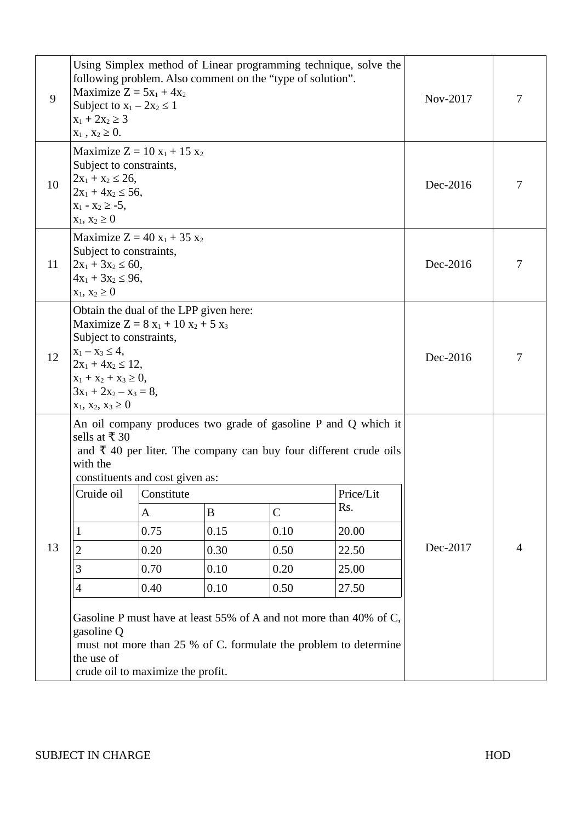| 9  | following problem. Also comment on the "type of solution".<br>Maximize $Z = 5x_1 + 4x_2$<br>Subject to $x_1 - 2x_2 \leq 1$<br>$x_1 + 2x_2 \ge 3$<br>$x_1, x_2 \ge 0.$                                                                       |                                   | Using Simplex method of Linear programming technique, solve the | Nov-2017                                     |                                                                                                                                                                                                                                                                                                                                                  |          |   |
|----|---------------------------------------------------------------------------------------------------------------------------------------------------------------------------------------------------------------------------------------------|-----------------------------------|-----------------------------------------------------------------|----------------------------------------------|--------------------------------------------------------------------------------------------------------------------------------------------------------------------------------------------------------------------------------------------------------------------------------------------------------------------------------------------------|----------|---|
| 10 | Maximize $Z = 10 x_1 + 15 x_2$<br>Subject to constraints,<br>$2x_1 + x_2 \le 26$ ,<br>$2x_1 + 4x_2 \le 56$ ,<br>$x_1 - x_2 \ge -5$ ,<br>$x_1, x_2 \ge 0$                                                                                    | Dec-2016                          | 7                                                               |                                              |                                                                                                                                                                                                                                                                                                                                                  |          |   |
| 11 | Maximize $Z = 40 x_1 + 35 x_2$<br>Subject to constraints,<br>$2x_1 + 3x_2 \le 60$ ,<br>$4x_1 + 3x_2 \le 96$ ,<br>$x_1, x_2 \ge 0$                                                                                                           | Dec-2016                          |                                                                 |                                              |                                                                                                                                                                                                                                                                                                                                                  |          |   |
| 12 | Obtain the dual of the LPP given here:<br>Maximize $Z = 8x_1 + 10x_2 + 5x_3$<br>Subject to constraints,<br>$x_1 - x_3 \le 4$ ,<br>$2x_1 + 4x_2 \le 12$ ,<br>$x_1 + x_2 + x_3 \geq 0$ ,<br>$3x_1 + 2x_2 - x_3 = 8$<br>$x_1, x_2, x_3 \geq 0$ |                                   | Dec-2016                                                        |                                              |                                                                                                                                                                                                                                                                                                                                                  |          |   |
| 13 | sells at ₹30<br>with the<br>constituents and cost given as:<br>Cruide oil Constitute<br>1<br>$\overline{2}$<br>3<br>4<br>gasoline Q<br>the use of<br>crude oil to maximize the profit.                                                      | A<br>0.75<br>0.20<br>0.70<br>0.40 | B<br>0.15<br>0.30<br>0.10<br>0.10                               | $\mathsf{C}$<br>0.10<br>0.50<br>0.20<br>0.50 | An oil company produces two grade of gasoline P and Q which it<br>and $\bar{\tau}$ 40 per liter. The company can buy four different crude oils<br>Price/Lit<br>Rs.<br>20.00<br>22.50<br>25.00<br>27.50<br>Gasoline P must have at least 55% of A and not more than 40% of C,<br>must not more than 25 % of C. formulate the problem to determine | Dec-2017 | 4 |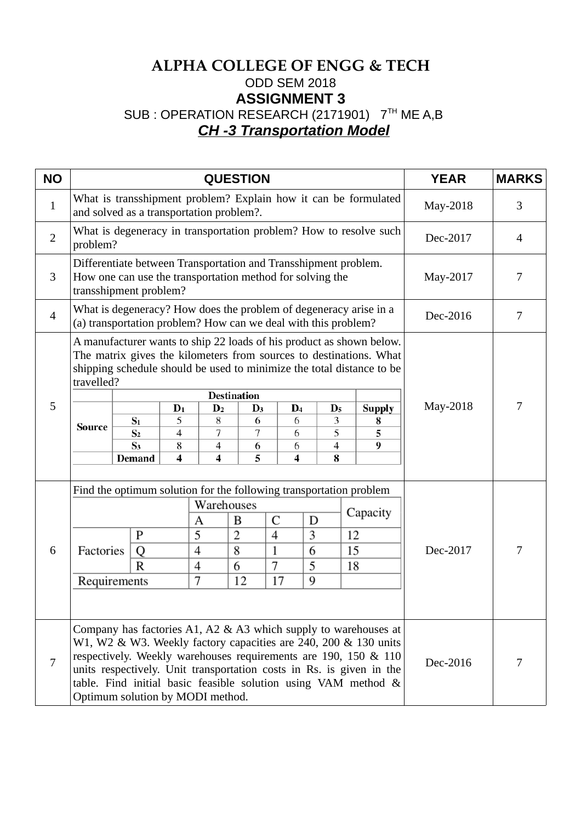# **ALPHA COLLEGE OF ENGG & TECH** ODD SEM 2018 **ASSIGNMENT 3** SUB : OPERATION RESEARCH (2171901) 7TH ME A,B *CH -3 Transportation Model*

| <b>NO</b>      |                                                                                                                                                                                                                                                                                                                                                                                                                                                                                                                                                                                                             |  | <b>YEAR</b>                                                     | <b>MARKS</b>                                                      |          |   |  |          |   |          |          |   |
|----------------|-------------------------------------------------------------------------------------------------------------------------------------------------------------------------------------------------------------------------------------------------------------------------------------------------------------------------------------------------------------------------------------------------------------------------------------------------------------------------------------------------------------------------------------------------------------------------------------------------------------|--|-----------------------------------------------------------------|-------------------------------------------------------------------|----------|---|--|----------|---|----------|----------|---|
| $\mathbf{1}$   | and solved as a transportation problem?.                                                                                                                                                                                                                                                                                                                                                                                                                                                                                                                                                                    |  | What is transshipment problem? Explain how it can be formulated | May-2018                                                          | 3        |   |  |          |   |          |          |   |
| $\overline{2}$ | problem?                                                                                                                                                                                                                                                                                                                                                                                                                                                                                                                                                                                                    |  |                                                                 | What is degeneracy in transportation problem? How to resolve such | Dec-2017 | 4 |  |          |   |          |          |   |
| 3              | Differentiate between Transportation and Transshipment problem.<br>How one can use the transportation method for solving the<br>transshipment problem?                                                                                                                                                                                                                                                                                                                                                                                                                                                      |  |                                                                 | May-2017                                                          | 7        |   |  |          |   |          |          |   |
| $\overline{4}$ | What is degeneracy? How does the problem of degeneracy arise in a<br>(a) transportation problem? How can we deal with this problem?                                                                                                                                                                                                                                                                                                                                                                                                                                                                         |  |                                                                 |                                                                   |          |   |  |          |   |          | Dec-2016 | 7 |
| 5              | A manufacturer wants to ship 22 loads of his product as shown below.<br>The matrix gives the kilometers from sources to destinations. What<br>shipping schedule should be used to minimize the total distance to be<br>travelled?<br><b>Destination</b><br>$D_1$<br>$\mathbf{D}_4$<br>$\mathbf{D}_2$<br>$\mathbf{D}_5$<br><b>Supply</b><br>$\mathbf{D}_3$<br>8<br>3<br>5<br>$S_1$<br>6<br>6<br>8<br><b>Source</b><br>5<br>$\overline{4}$<br>7<br>7<br>S <sub>2</sub><br>6<br>5<br>S <sub>3</sub><br>8<br>9<br>$\overline{4}$<br>4<br>6<br>6<br>5<br>8<br>4<br>$\overline{\mathbf{4}}$<br>4<br><b>Demand</b> |  |                                                                 |                                                                   |          |   |  |          |   | May-2018 | 7        |   |
| 6              | Find the optimum solution for the following transportation problem<br>Warehouses<br>Capacity<br>C<br>B<br>D<br>А<br>5<br>$\overline{2}$<br>$\overline{4}$<br>3<br>P<br>12<br>8<br>4<br>1<br>15<br>Factories<br>Q<br>6<br>7<br>5<br>R<br>4<br>6<br>18<br>7<br>17<br>9<br>Requirements<br>12                                                                                                                                                                                                                                                                                                                  |  |                                                                 |                                                                   |          |   |  | Dec-2017 | 7 |          |          |   |
| 7              | Company has factories A1, A2 & A3 which supply to warehouses at<br>W1, W2 & W3. Weekly factory capacities are 240, 200 & 130 units<br>respectively. Weekly warehouses requirements are 190, 150 & 110<br>units respectively. Unit transportation costs in Rs. is given in the<br>table. Find initial basic feasible solution using VAM method &<br>Optimum solution by MODI method.                                                                                                                                                                                                                         |  |                                                                 |                                                                   |          |   |  |          |   | Dec-2016 | 7        |   |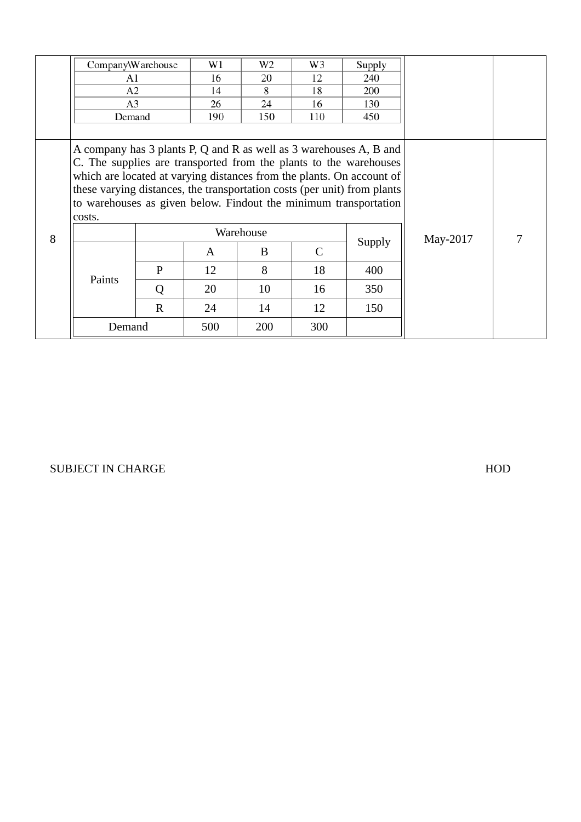|   | Company\Warehouse                                                        |              | W1  | W <sub>2</sub> | W3           | Supply |          |   |
|---|--------------------------------------------------------------------------|--------------|-----|----------------|--------------|--------|----------|---|
|   | A1                                                                       |              | 16  | 20             | 12           | 240    |          |   |
|   | A2                                                                       |              | 14  | 8              | 18           | 200    |          |   |
|   | A3                                                                       |              | 26  | 24             | 16           | 130    |          |   |
|   | Demand                                                                   |              | 450 |                |              |        |          |   |
|   |                                                                          |              |     |                |              |        |          |   |
|   | A company has 3 plants P, Q and R as well as 3 warehouses A, B and       |              |     |                |              |        |          |   |
|   | C. The supplies are transported from the plants to the warehouses        |              |     |                |              |        |          |   |
|   | which are located at varying distances from the plants. On account of    |              |     |                |              |        |          |   |
|   | these varying distances, the transportation costs (per unit) from plants |              |     |                |              |        |          |   |
|   | to warehouses as given below. Findout the minimum transportation         |              |     |                |              |        |          |   |
|   | costs.                                                                   |              |     |                |              |        |          |   |
| 8 |                                                                          |              |     | Warehouse      |              |        | May-2017 | 7 |
|   |                                                                          |              | A   | B              | $\mathsf{C}$ | Supply |          |   |
|   |                                                                          | $\mathbf{P}$ | 12  | 8              | 18           | 400    |          |   |
|   | Paints                                                                   | Q            | 20  | 10             | 16           | 350    |          |   |
|   |                                                                          | $\mathbf R$  | 24  | 14             | 12           | 150    |          |   |
|   | Demand                                                                   |              | 500 | 200            | 300          |        |          |   |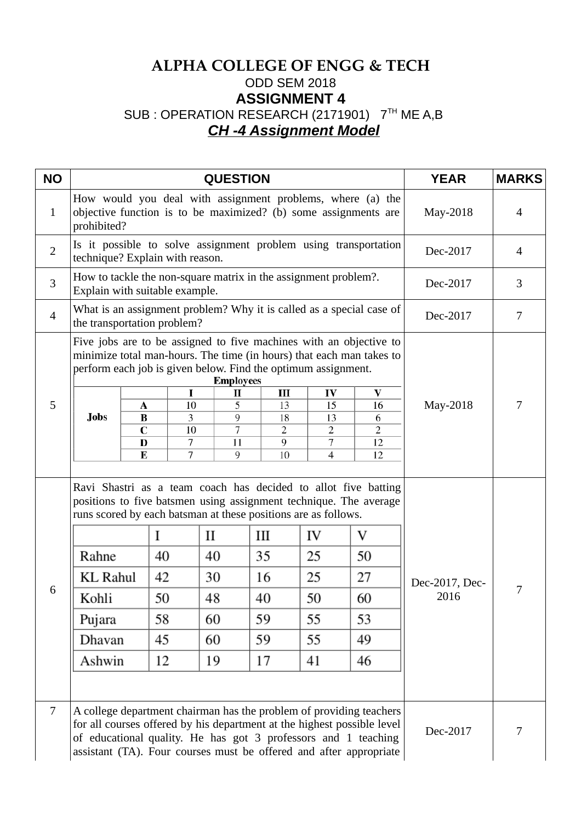# **ALPHA COLLEGE OF ENGG & TECH** ODD SEM 2018 **ASSIGNMENT 4** SUB : OPERATION RESEARCH (2171901) 7TH ME A,B *CH -4 Assignment Model*

| <b>NO</b>      |                                                                                                                                                                                                                                                                                        |                                                   | <b>YEAR</b>                                                                                                                   | <b>MARKS</b>                                                    |   |                                                                      |          |   |
|----------------|----------------------------------------------------------------------------------------------------------------------------------------------------------------------------------------------------------------------------------------------------------------------------------------|---------------------------------------------------|-------------------------------------------------------------------------------------------------------------------------------|-----------------------------------------------------------------|---|----------------------------------------------------------------------|----------|---|
| $\mathbf{1}$   | prohibited?                                                                                                                                                                                                                                                                            |                                                   | How would you deal with assignment problems, where (a) the<br>objective function is to be maximized? (b) some assignments are | May-2018                                                        | 4 |                                                                      |          |   |
| $\overline{2}$ | technique? Explain with reason.                                                                                                                                                                                                                                                        |                                                   |                                                                                                                               |                                                                 |   | Is it possible to solve assignment problem using transportation      | Dec-2017 | 4 |
| 3              | Explain with suitable example.                                                                                                                                                                                                                                                         |                                                   |                                                                                                                               | How to tackle the non-square matrix in the assignment problem?. |   |                                                                      | Dec-2017 | 3 |
| $\overline{4}$ | the transportation problem?                                                                                                                                                                                                                                                            |                                                   |                                                                                                                               |                                                                 |   | What is an assignment problem? Why it is called as a special case of | Dec-2017 | 7 |
| 5              | Five jobs are to be assigned to five machines with an objective to<br>minimize total man-hours. The time (in hours) that each man takes to<br>perform each job is given below. Find the optimum assignment.<br><b>Jobs</b>                                                             | A<br>$\bf{B}$<br>$\mathbf C$<br>$\mathbf{D}$<br>E | May-2018                                                                                                                      | 7                                                               |   |                                                                      |          |   |
| 6              | Ravi Shastri as a team coach has decided to allot five batting<br>positions to five batsmen using assignment technique. The average<br>runs scored by each batsman at these positions are as follows.<br>Rahne<br><b>KL Rahul</b><br>Kohli<br>Pujara<br>Dhavan<br>Ashwin               | I<br>40<br>42<br>50<br>58<br>45<br>12             | Dec-2017, Dec-<br>2016                                                                                                        | 7                                                               |   |                                                                      |          |   |
| $\overline{7}$ | A college department chairman has the problem of providing teachers<br>for all courses offered by his department at the highest possible level<br>of educational quality. He has got 3 professors and 1 teaching<br>assistant (TA). Four courses must be offered and after appropriate |                                                   | Dec-2017                                                                                                                      | 7                                                               |   |                                                                      |          |   |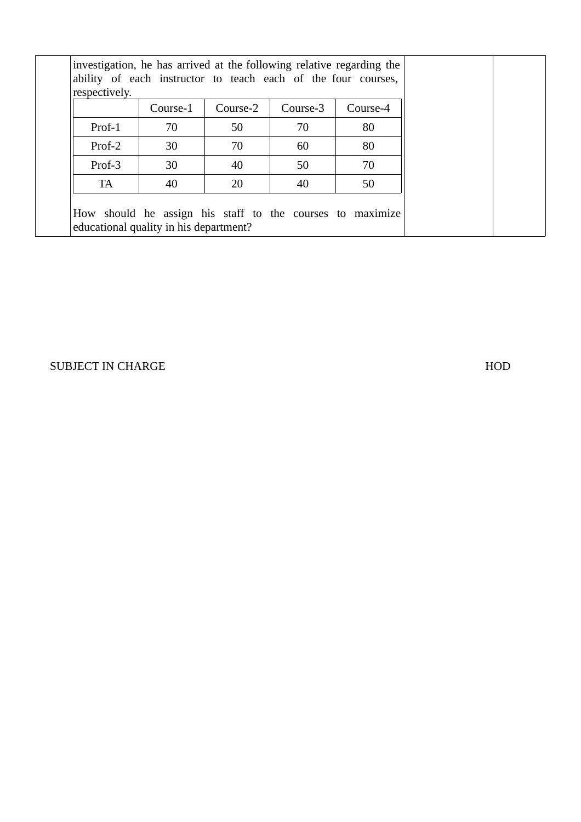| respectively.                          | investigation, he has arrived at the following relative regarding the<br>ability of each instructor to teach each of the four courses, |          |          |                                                           |  |
|----------------------------------------|----------------------------------------------------------------------------------------------------------------------------------------|----------|----------|-----------------------------------------------------------|--|
|                                        | Course-1                                                                                                                               | Course-2 | Course-3 | Course-4                                                  |  |
| Prof-1                                 | 70                                                                                                                                     | 50       | 70       | 80                                                        |  |
| Prof-2                                 | 30                                                                                                                                     | 70       | 60       | 80                                                        |  |
| Prof-3                                 | 30                                                                                                                                     | 40       | 50       | 70                                                        |  |
| TA                                     | 40                                                                                                                                     | 20       | 40       | 50                                                        |  |
| educational quality in his department? |                                                                                                                                        |          |          | How should he assign his staff to the courses to maximize |  |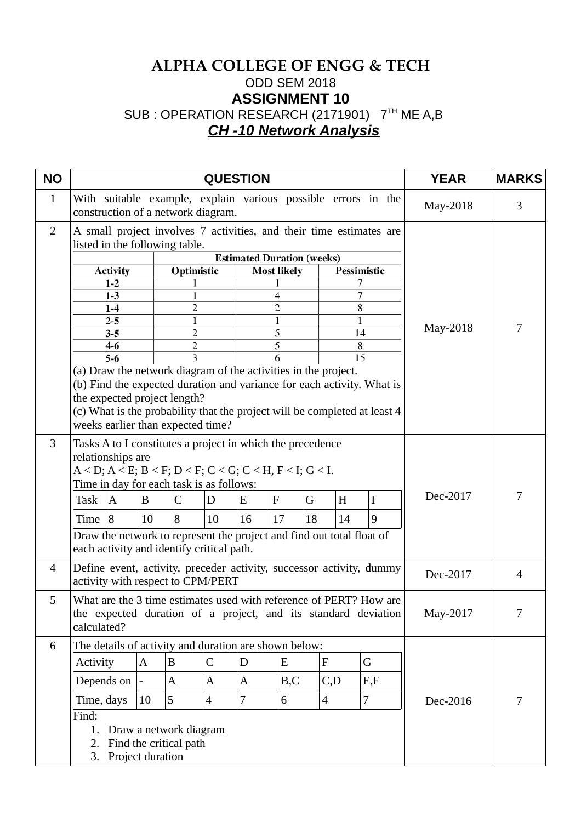# **ALPHA COLLEGE OF ENGG & TECH** ODD SEM 2018 **ASSIGNMENT 10** SUB : OPERATION RESEARCH (2171901) 7TH ME A,B *CH -10 Network Analysis*

| <b>NO</b>      |                                                                                                                                                                                                                                                                                                                                                                               |              |                | <b>YEAR</b>    | <b>MARKS</b>                      |                     |         |                          |             |                |  |          |                |
|----------------|-------------------------------------------------------------------------------------------------------------------------------------------------------------------------------------------------------------------------------------------------------------------------------------------------------------------------------------------------------------------------------|--------------|----------------|----------------|-----------------------------------|---------------------|---------|--------------------------|-------------|----------------|--|----------|----------------|
| $\mathbf{1}$   | With suitable example, explain various possible errors in the<br>construction of a network diagram.                                                                                                                                                                                                                                                                           |              |                |                |                                   |                     |         |                          |             |                |  | May-2018 | 3              |
| 2              | A small project involves 7 activities, and their time estimates are<br>listed in the following table.                                                                                                                                                                                                                                                                         |              |                |                |                                   |                     |         |                          |             |                |  |          |                |
|                |                                                                                                                                                                                                                                                                                                                                                                               |              |                |                | <b>Estimated Duration (weeks)</b> |                     |         |                          |             |                |  |          |                |
|                | <b>Activity</b>                                                                                                                                                                                                                                                                                                                                                               |              | Optimistic     |                |                                   | <b>Most likely</b>  |         |                          | Pessimistic |                |  |          |                |
|                | $1-2$                                                                                                                                                                                                                                                                                                                                                                         |              |                |                |                                   |                     |         |                          | 7           |                |  |          |                |
|                | $1-3$<br>$1-4$                                                                                                                                                                                                                                                                                                                                                                |              | $\overline{c}$ |                |                                   | 4<br>$\overline{c}$ |         |                          | 7<br>8      |                |  |          |                |
|                | $2 - 5$                                                                                                                                                                                                                                                                                                                                                                       |              | 1              |                |                                   | 1                   |         |                          | 1           |                |  |          |                |
|                | $3 - 5$                                                                                                                                                                                                                                                                                                                                                                       |              | $\overline{2}$ |                |                                   | 5                   |         |                          | 14          |                |  | May-2018 | 7              |
|                | $4 - 6$                                                                                                                                                                                                                                                                                                                                                                       |              | 2              |                |                                   | 5                   |         |                          | 8           |                |  |          |                |
|                | $5-6$                                                                                                                                                                                                                                                                                                                                                                         |              | 3              |                |                                   | 6                   |         |                          | 15          |                |  |          |                |
|                | (a) Draw the network diagram of the activities in the project.<br>(b) Find the expected duration and variance for each activity. What is<br>the expected project length?<br>(c) What is the probability that the project will be completed at least 4<br>weeks earlier than expected time?                                                                                    |              |                |                |                                   |                     |         |                          |             |                |  |          |                |
| 3              | Tasks A to I constitutes a project in which the precedence<br>relationships are<br>$A < D$ ; $A < E$ ; $B < F$ ; $D < F$ ; $C < G$ ; $C < H$ , $F < I$ ; $G < I$ .<br>Time in day for each task is as follows:<br>Task<br>$\boldsymbol{A}$<br>Time $ 8$<br>Draw the network to represent the project and find out total float of<br>each activity and identify critical path. | B<br>10      | C<br>8         | D<br>10        | E<br>16                           | F<br>17             | G<br>18 |                          | H<br>14     | $\bf{I}$<br>9  |  | Dec-2017 | 7              |
| $\overline{4}$ | Define event, activity, preceder activity, successor activity, dummy<br>activity with respect to CPM/PERT                                                                                                                                                                                                                                                                     |              |                |                |                                   |                     |         |                          |             |                |  | Dec-2017 | $\overline{4}$ |
| 5              | What are the 3 time estimates used with reference of PERT? How are<br>the expected duration of a project, and its standard deviation<br>calculated?                                                                                                                                                                                                                           |              |                |                |                                   |                     |         |                          |             |                |  | May-2017 | 7              |
| 6              | The details of activity and duration are shown below:                                                                                                                                                                                                                                                                                                                         |              |                |                |                                   |                     |         |                          |             |                |  |          |                |
|                | Activity                                                                                                                                                                                                                                                                                                                                                                      | $\mathbf{A}$ | $\bf{B}$       | $\mathsf C$    | D                                 | E                   |         | $\mathbf F$              |             | G              |  |          |                |
|                |                                                                                                                                                                                                                                                                                                                                                                               |              |                |                |                                   |                     |         |                          |             |                |  |          |                |
|                | Depends on                                                                                                                                                                                                                                                                                                                                                                    |              | $\mathbf{A}$   | A              | $\boldsymbol{A}$                  | B,C                 |         | C, D                     |             | E,F            |  |          |                |
|                | Time, days                                                                                                                                                                                                                                                                                                                                                                    | 10           | 5              | $\overline{4}$ | $\boldsymbol{7}$                  | 6                   |         | $\overline{\mathcal{A}}$ |             | $\overline{7}$ |  | Dec-2016 | 7              |
|                | Find:<br>Draw a network diagram<br>1.<br>2. Find the critical path<br>3. Project duration                                                                                                                                                                                                                                                                                     |              |                |                |                                   |                     |         |                          |             |                |  |          |                |